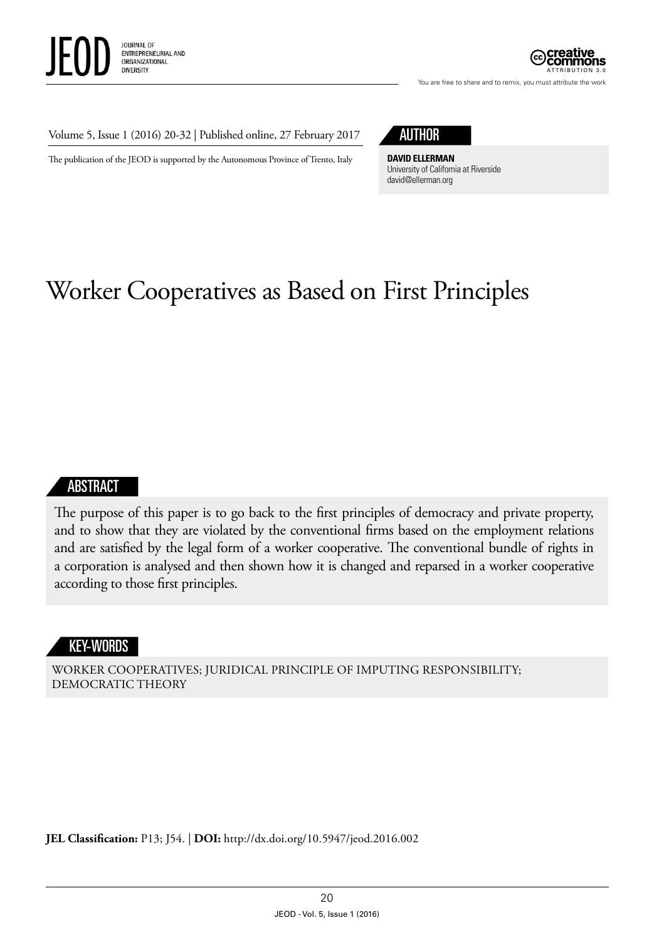



You are free to share and to remix, you must attribute the work

#### Volume 5, Issue 1 (2016) 20-32 | Published online, 27 February 2017

The publication of the JEOD is supported by the Autonomous Province of Trento, Italy



**DAVID ELLERMAN** University of California at Riverside [david@ellerman.org](mailto:david@ellerman.org)

# Worker Cooperatives as Based on First Principles

#### ABSTRACT

The purpose of this paper is to go back to the first principles of democracy and private property, and to show that they are violated by the conventional firms based on the employment relations and are satisfied by the legal form of a worker cooperative. The conventional bundle of rights in a corporation is analysed and then shown how it is changed and reparsed in a worker cooperative according to those first principles.

#### KEY-WORDS

WORKER COOPERATIVES; JURIDICAL PRINCIPLE OF IMPUTING RESPONSIBILITY; DEMOCRATIC THEORY

**JEL Classification:** P13; J54. | **DOI:** <http://dx.doi.org/10.5947/jeod.2016.002>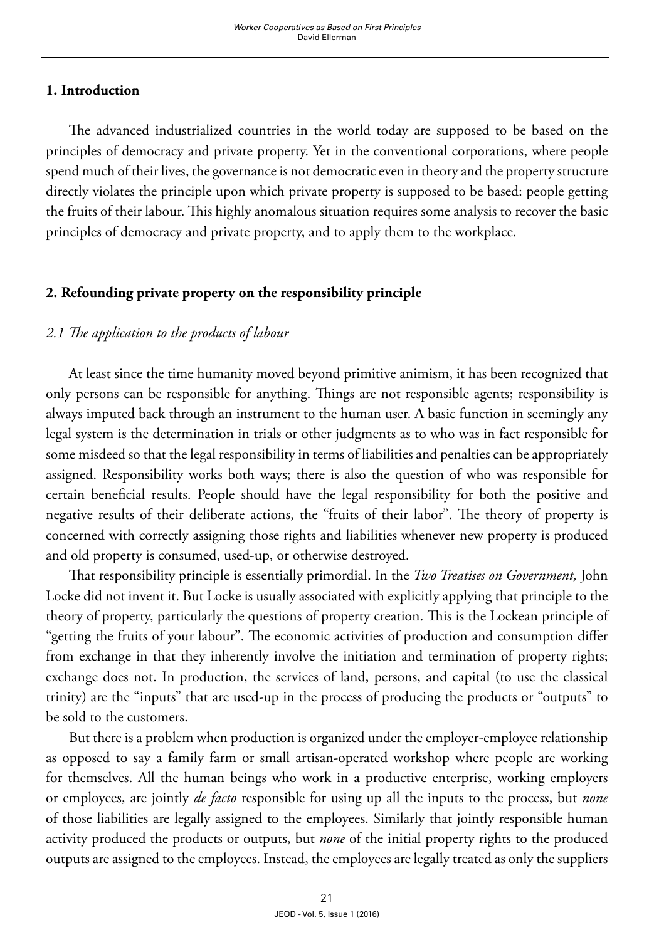### **1. Introduction**

The advanced industrialized countries in the world today are supposed to be based on the principles of democracy and private property. Yet in the conventional corporations, where people spend much of their lives, the governance is not democratic even in theory and the property structure directly violates the principle upon which private property is supposed to be based: people getting the fruits of their labour. This highly anomalous situation requires some analysis to recover the basic principles of democracy and private property, and to apply them to the workplace.

## **2. Refounding private property on the responsibility principle**

# *2.1 The application to the products of labour*

At least since the time humanity moved beyond primitive animism, it has been recognized that only persons can be responsible for anything. Things are not responsible agents; responsibility is always imputed back through an instrument to the human user. A basic function in seemingly any legal system is the determination in trials or other judgments as to who was in fact responsible for some misdeed so that the legal responsibility in terms of liabilities and penalties can be appropriately assigned. Responsibility works both ways; there is also the question of who was responsible for certain beneficial results. People should have the legal responsibility for both the positive and negative results of their deliberate actions, the "fruits of their labor". The theory of property is concerned with correctly assigning those rights and liabilities whenever new property is produced and old property is consumed, used-up, or otherwise destroyed.

That responsibility principle is essentially primordial. In the *Two Treatises on Government,* John Locke did not invent it. But Locke is usually associated with explicitly applying that principle to the theory of property, particularly the questions of property creation. This is the Lockean principle of "getting the fruits of your labour". The economic activities of production and consumption differ from exchange in that they inherently involve the initiation and termination of property rights; exchange does not. In production, the services of land, persons, and capital (to use the classical trinity) are the "inputs" that are used-up in the process of producing the products or "outputs" to be sold to the customers.

But there is a problem when production is organized under the employer-employee relationship as opposed to say a family farm or small artisan-operated workshop where people are working for themselves. All the human beings who work in a productive enterprise, working employers or employees, are jointly *de facto* responsible for using up all the inputs to the process, but *none* of those liabilities are legally assigned to the employees. Similarly that jointly responsible human activity produced the products or outputs, but *none* of the initial property rights to the produced outputs are assigned to the employees. Instead, the employees are legally treated as only the suppliers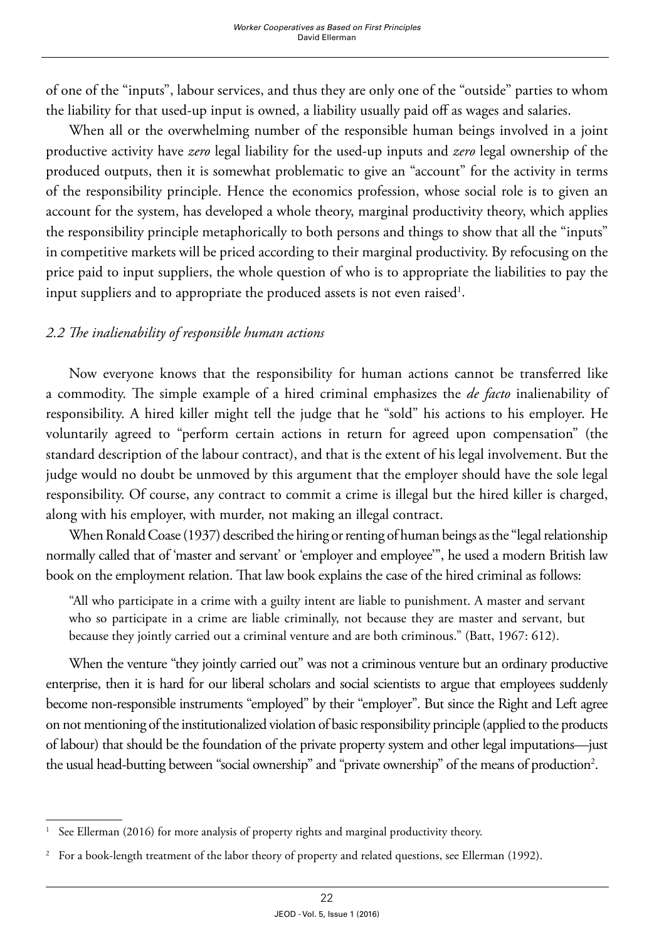of one of the "inputs", labour services, and thus they are only one of the "outside" parties to whom the liability for that used-up input is owned, a liability usually paid off as wages and salaries.

When all or the overwhelming number of the responsible human beings involved in a joint productive activity have *zero* legal liability for the used-up inputs and *zero* legal ownership of the produced outputs, then it is somewhat problematic to give an "account" for the activity in terms of the responsibility principle. Hence the economics profession, whose social role is to given an account for the system, has developed a whole theory, marginal productivity theory, which applies the responsibility principle metaphorically to both persons and things to show that all the "inputs" in competitive markets will be priced according to their marginal productivity. By refocusing on the price paid to input suppliers, the whole question of who is to appropriate the liabilities to pay the input suppliers and to appropriate the produced assets is not even raised<sup>1</sup>.

### *2.2 The inalienability of responsible human actions*

Now everyone knows that the responsibility for human actions cannot be transferred like a commodity. The simple example of a hired criminal emphasizes the *de facto* inalienability of responsibility. A hired killer might tell the judge that he "sold" his actions to his employer. He voluntarily agreed to "perform certain actions in return for agreed upon compensation" (the standard description of the labour contract), and that is the extent of his legal involvement. But the judge would no doubt be unmoved by this argument that the employer should have the sole legal responsibility. Of course, any contract to commit a crime is illegal but the hired killer is charged, along with his employer, with murder, not making an illegal contract.

When Ronald Coase (1937) described the hiring or renting of human beings as the "legal relationship normally called that of 'master and servant' or 'employer and employee'", he used a modern British law book on the employment relation. That law book explains the case of the hired criminal as follows:

"All who participate in a crime with a guilty intent are liable to punishment. A master and servant who so participate in a crime are liable criminally, not because they are master and servant, but because they jointly carried out a criminal venture and are both criminous." (Batt, 1967: 612).

When the venture "they jointly carried out" was not a criminous venture but an ordinary productive enterprise, then it is hard for our liberal scholars and social scientists to argue that employees suddenly become non-responsible instruments "employed" by their "employer". But since the Right and Left agree on not mentioning of the institutionalized violation of basic responsibility principle (applied to the products of labour) that should be the foundation of the private property system and other legal imputations—just the usual head-butting between "social ownership" and "private ownership" of the means of production<sup>2</sup>.

<sup>1</sup> See Ellerman (2016) for more analysis of property rights and marginal productivity theory.

<sup>2</sup> For a book-length treatment of the labor theory of property and related questions, see Ellerman (1992).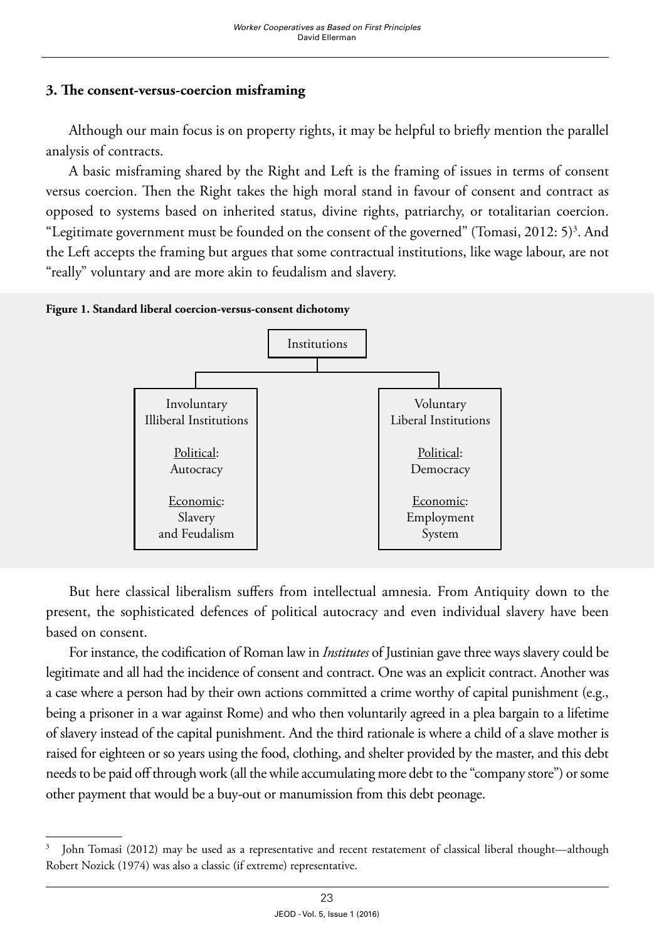#### **3. The consent-versus-coercion misframing**

Although our main focus is on property rights, it may be helpful to briefly mention the parallel analysis of contracts.

A basic misframing shared by the Right and Left is the framing of issues in terms of consent versus coercion. Then the Right takes the high moral stand in favour of consent and contract as opposed to systems based on inherited status, divine rights, patriarchy, or totalitarian coercion. "Legitimate government must be founded on the consent of the governed" (Tomasi, 2012: 5)<sup>3</sup>. And the Left accepts the framing but argues that some contractual institutions, like wage labour, are not "really" voluntary and are more akin to feudalism and slavery.

**Figure 1. Standard liberal coercion-versus-consent dichotomy**



But here classical liberalism suffers from intellectual amnesia. From Antiquity down to the present, the sophisticated defences of political autocracy and even individual slavery have been based on consent.

For instance, the codification of Roman law in *Institutes* of Justinian gave three ways slavery could be legitimate and all had the incidence of consent and contract. One was an explicit contract. Another was a case where a person had by their own actions committed a crime worthy of capital punishment (e.g., being a prisoner in a war against Rome) and who then voluntarily agreed in a plea bargain to a lifetime of slavery instead of the capital punishment. And the third rationale is where a child of a slave mother is raised for eighteen or so years using the food, clothing, and shelter provided by the master, and this debt needs to be paid off through work (all the while accumulating more debt to the "company store") or some other payment that would be a buy-out or manumission from this debt peonage.

<sup>3</sup> John Tomasi (2012) may be used as a representative and recent restatement of classical liberal thought—although Robert Nozick (1974) was also a classic (if extreme) representative.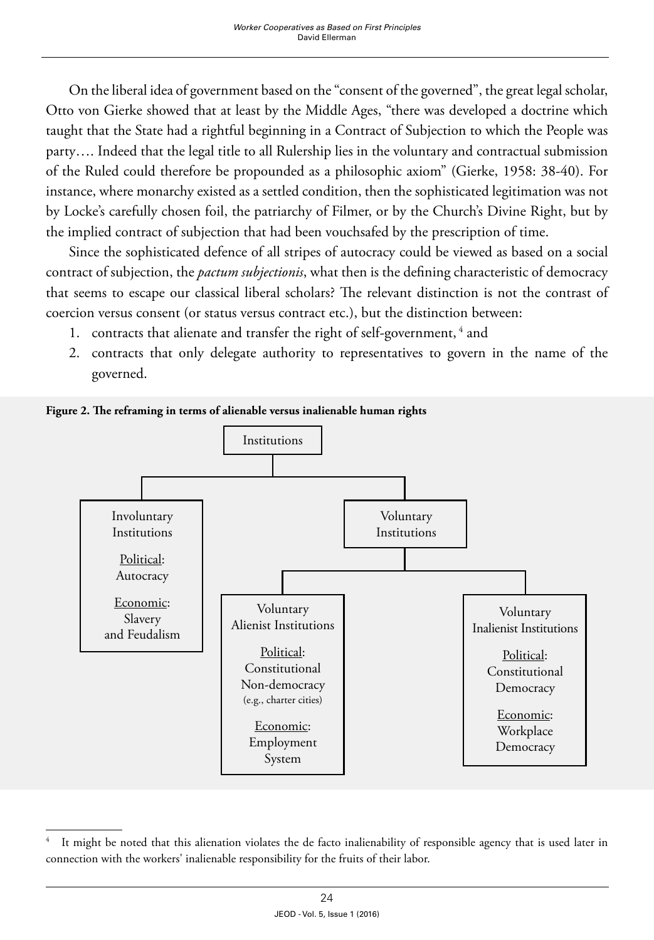On the liberal idea of government based on the "consent of the governed", the great legal scholar, Otto von Gierke showed that at least by the Middle Ages, "there was developed a doctrine which taught that the State had a rightful beginning in a Contract of Subjection to which the People was party…. Indeed that the legal title to all Rulership lies in the voluntary and contractual submission of the Ruled could therefore be propounded as a philosophic axiom" (Gierke, 1958: 38-40). For instance, where monarchy existed as a settled condition, then the sophisticated legitimation was not by Locke's carefully chosen foil, the patriarchy of Filmer, or by the Church's Divine Right, but by the implied contract of subjection that had been vouchsafed by the prescription of time.

Since the sophisticated defence of all stripes of autocracy could be viewed as based on a social contract of subjection, the *pactum subjectionis*, what then is the defining characteristic of democracy that seems to escape our classical liberal scholars? The relevant distinction is not the contrast of coercion versus consent (or status versus contract etc.), but the distinction between:

- 1. contracts that alienate and transfer the right of self-government,<sup>4</sup> and
- 2. contracts that only delegate authority to representatives to govern in the name of the governed.



**Figure 2. The reframing in terms of alienable versus inalienable human rights**

<sup>4</sup> It might be noted that this alienation violates the de facto inalienability of responsible agency that is used later in connection with the workers' inalienable responsibility for the fruits of their labor.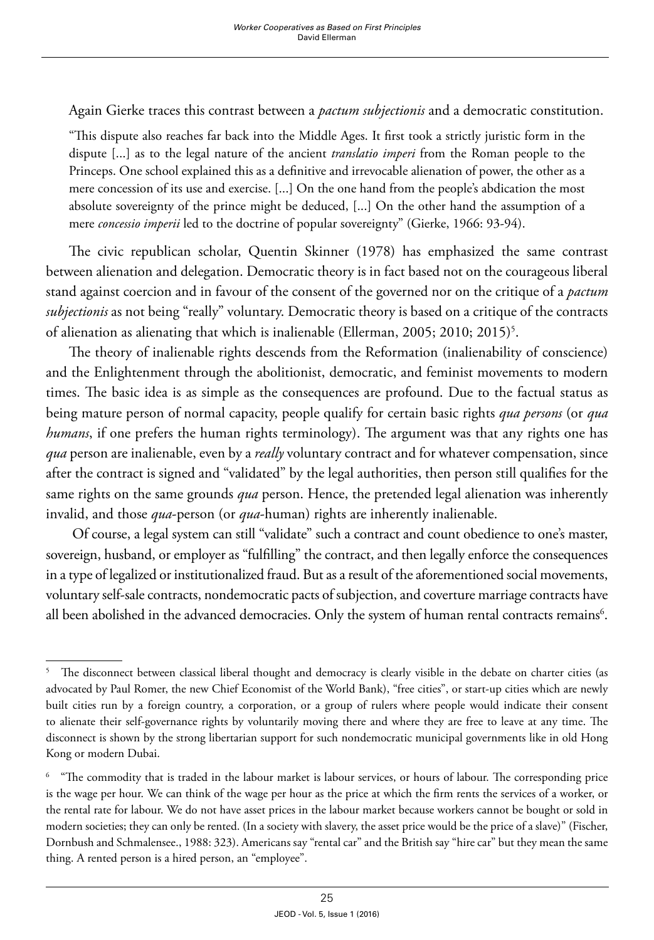Again Gierke traces this contrast between a *pactum subjectionis* and a democratic constitution.

"This dispute also reaches far back into the Middle Ages. It first took a strictly juristic form in the dispute [...] as to the legal nature of the ancient *translatio imperi* from the Roman people to the Princeps. One school explained this as a definitive and irrevocable alienation of power, the other as a mere concession of its use and exercise. [...] On the one hand from the people's abdication the most absolute sovereignty of the prince might be deduced, [...] On the other hand the assumption of a mere *concessio imperii* led to the doctrine of popular sovereignty" (Gierke, 1966: 93-94).

The civic republican scholar, Quentin Skinner (1978) has emphasized the same contrast between alienation and delegation. Democratic theory is in fact based not on the courageous liberal stand against coercion and in favour of the consent of the governed nor on the critique of a *pactum subjectionis* as not being "really" voluntary. Democratic theory is based on a critique of the contracts of alienation as alienating that which is inalienable (Ellerman, 2005; 2010; 2015)<sup>5</sup>.

The theory of inalienable rights descends from the Reformation (inalienability of conscience) and the Enlightenment through the abolitionist, democratic, and feminist movements to modern times. The basic idea is as simple as the consequences are profound. Due to the factual status as being mature person of normal capacity, people qualify for certain basic rights *qua persons* (or *qua humans*, if one prefers the human rights terminology). The argument was that any rights one has *qua* person are inalienable, even by a *really* voluntary contract and for whatever compensation, since after the contract is signed and "validated" by the legal authorities, then person still qualifies for the same rights on the same grounds *qua* person. Hence, the pretended legal alienation was inherently invalid, and those *qua*-person (or *qua*-human) rights are inherently inalienable.

 Of course, a legal system can still "validate" such a contract and count obedience to one's master, sovereign, husband, or employer as "fulfilling" the contract, and then legally enforce the consequences in a type of legalized or institutionalized fraud. But as a result of the aforementioned social movements, voluntary self-sale contracts, nondemocratic pacts of subjection, and coverture marriage contracts have all been abolished in the advanced democracies. Only the system of human rental contracts remains $\delta$ .

<sup>5</sup> The disconnect between classical liberal thought and democracy is clearly visible in the debate on charter cities (as advocated by Paul Romer, the new Chief Economist of the World Bank), "free cities", or start-up cities which are newly built cities run by a foreign country, a corporation, or a group of rulers where people would indicate their consent to alienate their self-governance rights by voluntarily moving there and where they are free to leave at any time. The disconnect is shown by the strong libertarian support for such nondemocratic municipal governments like in old Hong Kong or modern Dubai.

<sup>6</sup> "The commodity that is traded in the labour market is labour services, or hours of labour. The corresponding price is the wage per hour. We can think of the wage per hour as the price at which the firm rents the services of a worker, or the rental rate for labour. We do not have asset prices in the labour market because workers cannot be bought or sold in modern societies; they can only be rented. (In a society with slavery, the asset price would be the price of a slave)" (Fischer, Dornbush and Schmalensee., 1988: 323). Americans say "rental car" and the British say "hire car" but they mean the same thing. A rented person is a hired person, an "employee".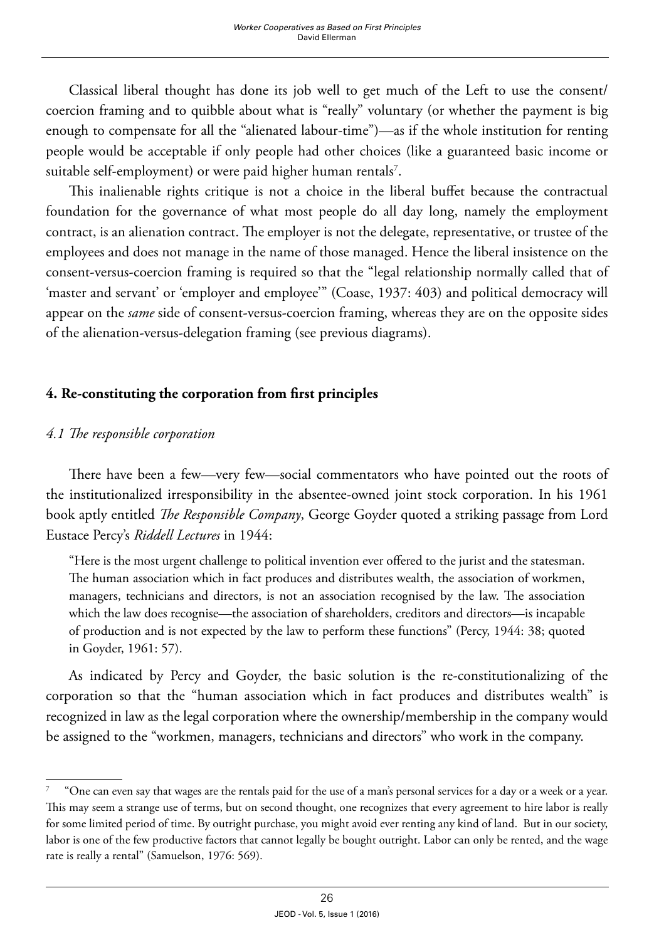Classical liberal thought has done its job well to get much of the Left to use the consent/ coercion framing and to quibble about what is "really" voluntary (or whether the payment is big enough to compensate for all the "alienated labour-time")—as if the whole institution for renting people would be acceptable if only people had other choices (like a guaranteed basic income or suitable self-employment) or were paid higher human rentals<sup>7</sup>.

This inalienable rights critique is not a choice in the liberal buffet because the contractual foundation for the governance of what most people do all day long, namely the employment contract, is an alienation contract. The employer is not the delegate, representative, or trustee of the employees and does not manage in the name of those managed. Hence the liberal insistence on the consent-versus-coercion framing is required so that the "legal relationship normally called that of 'master and servant' or 'employer and employee'" (Coase, 1937: 403) and political democracy will appear on the *same* side of consent-versus-coercion framing, whereas they are on the opposite sides of the alienation-versus-delegation framing (see previous diagrams).

# **4. Re-constituting the corporation from first principles**

# *4.1 The responsible corporation*

There have been a few—very few—social commentators who have pointed out the roots of the institutionalized irresponsibility in the absentee-owned joint stock corporation. In his 1961 book aptly entitled *The Responsible Company*, George Goyder quoted a striking passage from Lord Eustace Percy's *Riddell Lectures* in 1944:

"Here is the most urgent challenge to political invention ever offered to the jurist and the statesman. The human association which in fact produces and distributes wealth, the association of workmen, managers, technicians and directors, is not an association recognised by the law. The association which the law does recognise—the association of shareholders, creditors and directors—is incapable of production and is not expected by the law to perform these functions" (Percy, 1944: 38; quoted in Goyder, 1961: 57).

As indicated by Percy and Goyder, the basic solution is the re-constitutionalizing of the corporation so that the "human association which in fact produces and distributes wealth" is recognized in law as the legal corporation where the ownership/membership in the company would be assigned to the "workmen, managers, technicians and directors" who work in the company.

<sup>7 &</sup>quot;One can even say that wages are the rentals paid for the use of a man's personal services for a day or a week or a year. This may seem a strange use of terms, but on second thought, one recognizes that every agreement to hire labor is really for some limited period of time. By outright purchase, you might avoid ever renting any kind of land. But in our society, labor is one of the few productive factors that cannot legally be bought outright. Labor can only be rented, and the wage rate is really a rental" (Samuelson, 1976: 569).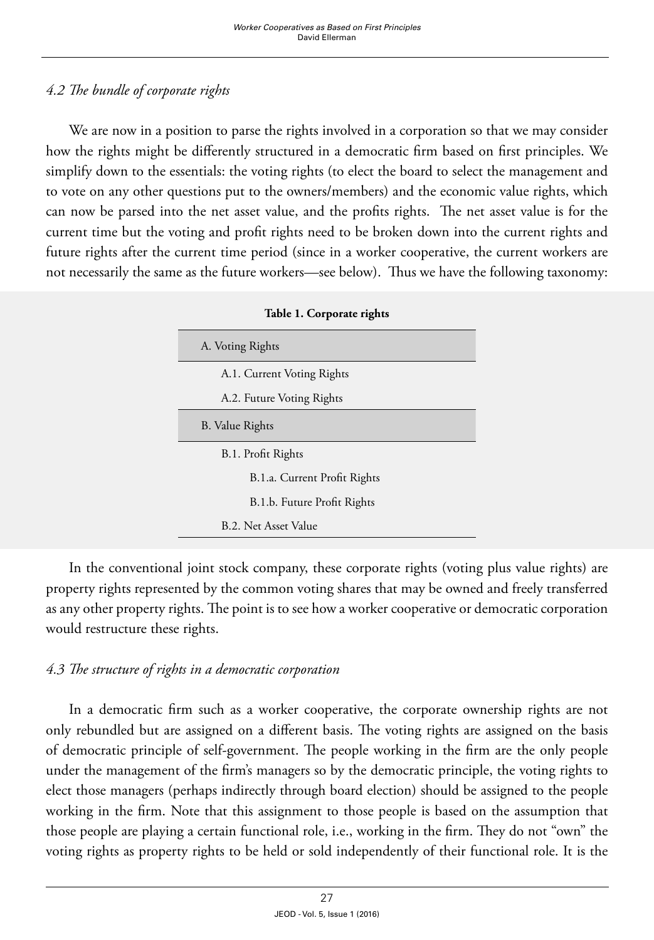# *4.2 The bundle of corporate rights*

We are now in a position to parse the rights involved in a corporation so that we may consider how the rights might be differently structured in a democratic firm based on first principles. We simplify down to the essentials: the voting rights (to elect the board to select the management and to vote on any other questions put to the owners/members) and the economic value rights, which can now be parsed into the net asset value, and the profits rights. The net asset value is for the current time but the voting and profit rights need to be broken down into the current rights and future rights after the current time period (since in a worker cooperative, the current workers are not necessarily the same as the future workers—see below). Thus we have the following taxonomy:

| Table 1. Corporate rights    |  |  |
|------------------------------|--|--|
| A. Voting Rights             |  |  |
| A.1. Current Voting Rights   |  |  |
| A.2. Future Voting Rights    |  |  |
| B. Value Rights              |  |  |
| B.1. Profit Rights           |  |  |
| B.1.a. Current Profit Rights |  |  |
| B.1.b. Future Profit Rights  |  |  |
| B.2. Net Asset Value         |  |  |

In the conventional joint stock company, these corporate rights (voting plus value rights) are property rights represented by the common voting shares that may be owned and freely transferred as any other property rights. The point is to see how a worker cooperative or democratic corporation would restructure these rights.

#### *4.3 The structure of rights in a democratic corporation*

In a democratic firm such as a worker cooperative, the corporate ownership rights are not only rebundled but are assigned on a different basis. The voting rights are assigned on the basis of democratic principle of self-government. The people working in the firm are the only people under the management of the firm's managers so by the democratic principle, the voting rights to elect those managers (perhaps indirectly through board election) should be assigned to the people working in the firm. Note that this assignment to those people is based on the assumption that those people are playing a certain functional role, i.e., working in the firm. They do not "own" the voting rights as property rights to be held or sold independently of their functional role. It is the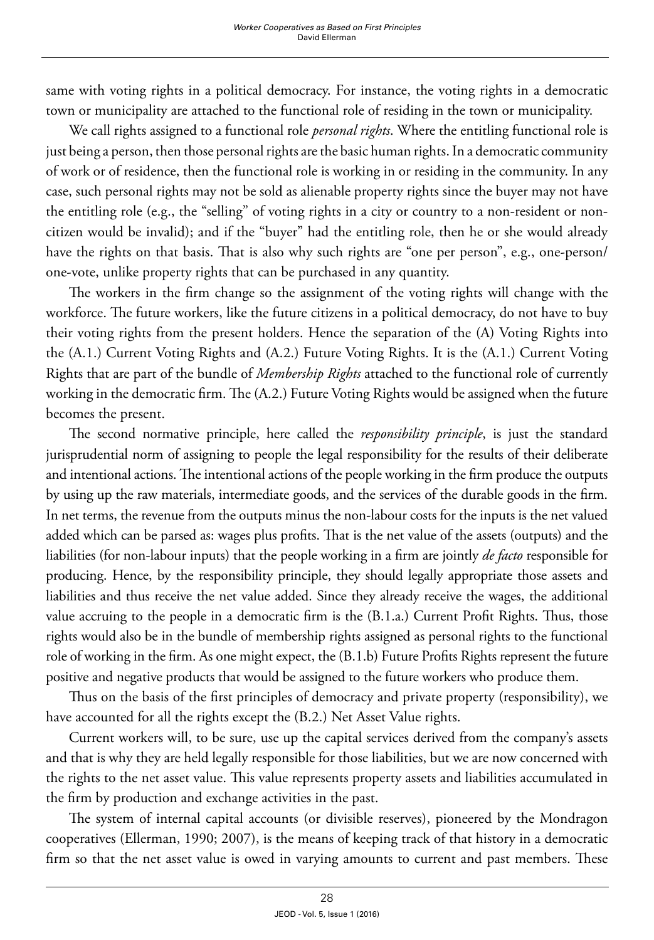same with voting rights in a political democracy. For instance, the voting rights in a democratic town or municipality are attached to the functional role of residing in the town or municipality.

We call rights assigned to a functional role *personal rights*. Where the entitling functional role is just being a person, then those personal rights are the basic human rights. In a democratic community of work or of residence, then the functional role is working in or residing in the community. In any case, such personal rights may not be sold as alienable property rights since the buyer may not have the entitling role (e.g., the "selling" of voting rights in a city or country to a non-resident or noncitizen would be invalid); and if the "buyer" had the entitling role, then he or she would already have the rights on that basis. That is also why such rights are "one per person", e.g., one-person/ one-vote, unlike property rights that can be purchased in any quantity.

The workers in the firm change so the assignment of the voting rights will change with the workforce. The future workers, like the future citizens in a political democracy, do not have to buy their voting rights from the present holders. Hence the separation of the (A) Voting Rights into the (A.1.) Current Voting Rights and (A.2.) Future Voting Rights. It is the (A.1.) Current Voting Rights that are part of the bundle of *Membership Rights* attached to the functional role of currently working in the democratic firm. The (A.2.) Future Voting Rights would be assigned when the future becomes the present.

The second normative principle, here called the *responsibility principle*, is just the standard jurisprudential norm of assigning to people the legal responsibility for the results of their deliberate and intentional actions. The intentional actions of the people working in the firm produce the outputs by using up the raw materials, intermediate goods, and the services of the durable goods in the firm. In net terms, the revenue from the outputs minus the non-labour costs for the inputs is the net valued added which can be parsed as: wages plus profits. That is the net value of the assets (outputs) and the liabilities (for non-labour inputs) that the people working in a firm are jointly *de facto* responsible for producing. Hence, by the responsibility principle, they should legally appropriate those assets and liabilities and thus receive the net value added. Since they already receive the wages, the additional value accruing to the people in a democratic firm is the (B.1.a.) Current Profit Rights. Thus, those rights would also be in the bundle of membership rights assigned as personal rights to the functional role of working in the firm. As one might expect, the (B.1.b) Future Profits Rights represent the future positive and negative products that would be assigned to the future workers who produce them.

Thus on the basis of the first principles of democracy and private property (responsibility), we have accounted for all the rights except the (B.2.) Net Asset Value rights.

Current workers will, to be sure, use up the capital services derived from the company's assets and that is why they are held legally responsible for those liabilities, but we are now concerned with the rights to the net asset value. This value represents property assets and liabilities accumulated in the firm by production and exchange activities in the past.

The system of internal capital accounts (or divisible reserves), pioneered by the Mondragon cooperatives (Ellerman, 1990; 2007), is the means of keeping track of that history in a democratic firm so that the net asset value is owed in varying amounts to current and past members. These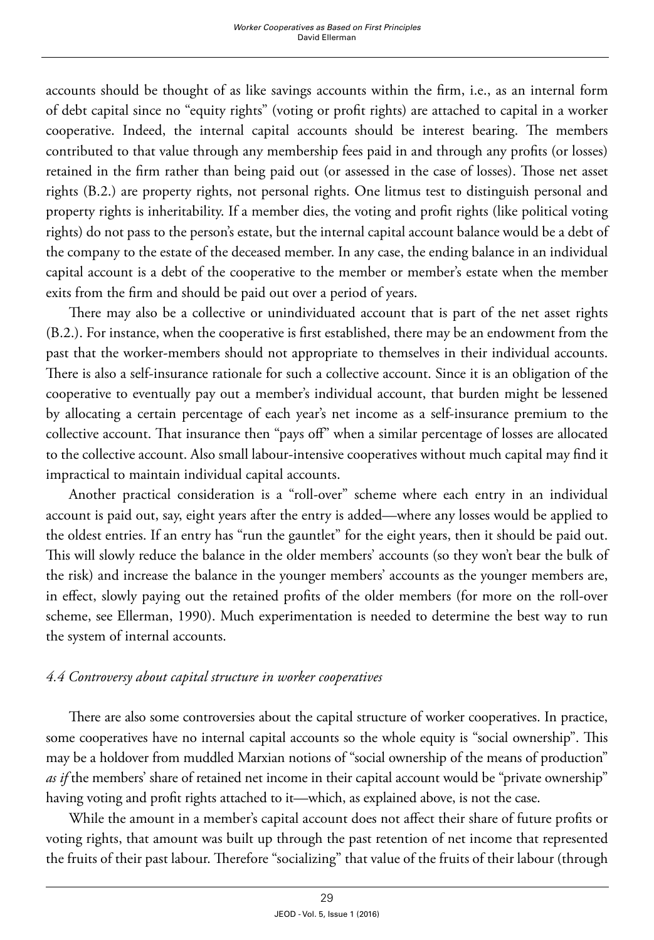accounts should be thought of as like savings accounts within the firm, i.e., as an internal form of debt capital since no "equity rights" (voting or profit rights) are attached to capital in a worker cooperative. Indeed, the internal capital accounts should be interest bearing. The members contributed to that value through any membership fees paid in and through any profits (or losses) retained in the firm rather than being paid out (or assessed in the case of losses). Those net asset rights (B.2.) are property rights, not personal rights. One litmus test to distinguish personal and property rights is inheritability. If a member dies, the voting and profit rights (like political voting rights) do not pass to the person's estate, but the internal capital account balance would be a debt of the company to the estate of the deceased member. In any case, the ending balance in an individual capital account is a debt of the cooperative to the member or member's estate when the member exits from the firm and should be paid out over a period of years.

There may also be a collective or unindividuated account that is part of the net asset rights (B.2.). For instance, when the cooperative is first established, there may be an endowment from the past that the worker-members should not appropriate to themselves in their individual accounts. There is also a self-insurance rationale for such a collective account. Since it is an obligation of the cooperative to eventually pay out a member's individual account, that burden might be lessened by allocating a certain percentage of each year's net income as a self-insurance premium to the collective account. That insurance then "pays off" when a similar percentage of losses are allocated to the collective account. Also small labour-intensive cooperatives without much capital may find it impractical to maintain individual capital accounts.

Another practical consideration is a "roll-over" scheme where each entry in an individual account is paid out, say, eight years after the entry is added—where any losses would be applied to the oldest entries. If an entry has "run the gauntlet" for the eight years, then it should be paid out. This will slowly reduce the balance in the older members' accounts (so they won't bear the bulk of the risk) and increase the balance in the younger members' accounts as the younger members are, in effect, slowly paying out the retained profits of the older members (for more on the roll-over scheme, see Ellerman, 1990). Much experimentation is needed to determine the best way to run the system of internal accounts.

#### *4.4 Controversy about capital structure in worker cooperatives*

There are also some controversies about the capital structure of worker cooperatives. In practice, some cooperatives have no internal capital accounts so the whole equity is "social ownership". This may be a holdover from muddled Marxian notions of "social ownership of the means of production" as if the members' share of retained net income in their capital account would be "private ownership" having voting and profit rights attached to it—which, as explained above, is not the case.

While the amount in a member's capital account does not affect their share of future profits or voting rights, that amount was built up through the past retention of net income that represented the fruits of their past labour. Therefore "socializing" that value of the fruits of their labour (through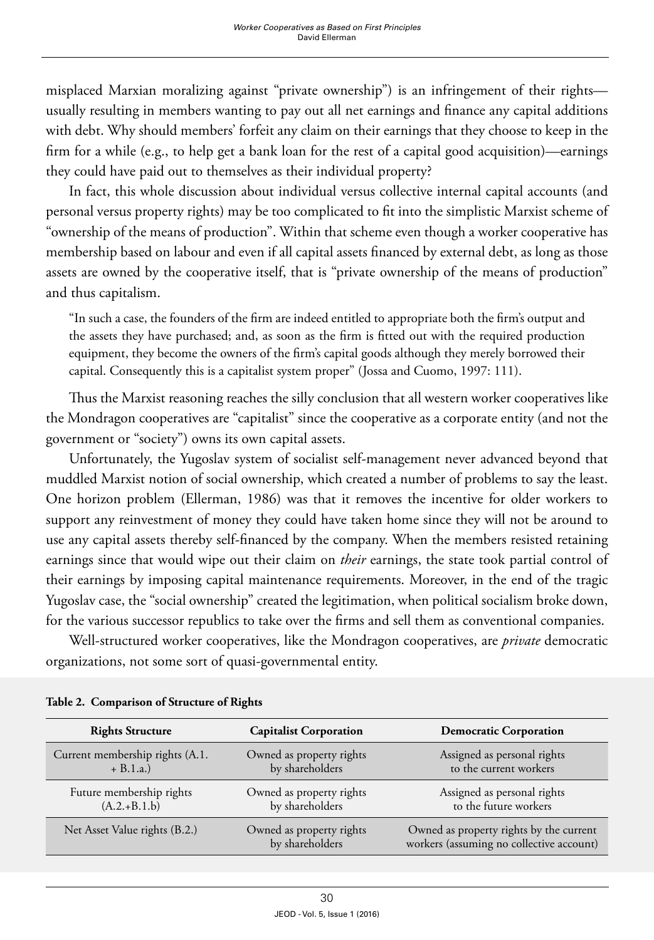misplaced Marxian moralizing against "private ownership") is an infringement of their rights usually resulting in members wanting to pay out all net earnings and finance any capital additions with debt. Why should members' forfeit any claim on their earnings that they choose to keep in the firm for a while (e.g., to help get a bank loan for the rest of a capital good acquisition)—earnings they could have paid out to themselves as their individual property?

In fact, this whole discussion about individual versus collective internal capital accounts (and personal versus property rights) may be too complicated to fit into the simplistic Marxist scheme of "ownership of the means of production". Within that scheme even though a worker cooperative has membership based on labour and even if all capital assets financed by external debt, as long as those assets are owned by the cooperative itself, that is "private ownership of the means of production" and thus capitalism.

"In such a case, the founders of the firm are indeed entitled to appropriate both the firm's output and the assets they have purchased; and, as soon as the firm is fitted out with the required production equipment, they become the owners of the firm's capital goods although they merely borrowed their capital. Consequently this is a capitalist system proper" (Jossa and Cuomo, 1997: 111).

Thus the Marxist reasoning reaches the silly conclusion that all western worker cooperatives like the Mondragon cooperatives are "capitalist" since the cooperative as a corporate entity (and not the government or "society") owns its own capital assets.

Unfortunately, the Yugoslav system of socialist self-management never advanced beyond that muddled Marxist notion of social ownership, which created a number of problems to say the least. One horizon problem (Ellerman, 1986) was that it removes the incentive for older workers to support any reinvestment of money they could have taken home since they will not be around to use any capital assets thereby self-financed by the company. When the members resisted retaining earnings since that would wipe out their claim on *their* earnings, the state took partial control of their earnings by imposing capital maintenance requirements. Moreover, in the end of the tragic Yugoslav case, the "social ownership" created the legitimation, when political socialism broke down, for the various successor republics to take over the firms and sell them as conventional companies.

Well-structured worker cooperatives, like the Mondragon cooperatives, are *private* democratic organizations, not some sort of quasi-governmental entity.

| <b>Rights Structure</b>                        | <b>Capitalist Corporation</b>               | <b>Democratic Corporation</b>                                                       |
|------------------------------------------------|---------------------------------------------|-------------------------------------------------------------------------------------|
| Current membership rights (A.1.<br>$+ B.1.a.)$ | Owned as property rights<br>by shareholders | Assigned as personal rights<br>to the current workers                               |
| Future membership rights<br>$(A.2.+B.1.b)$     | Owned as property rights<br>by shareholders | Assigned as personal rights<br>to the future workers                                |
| Net Asset Value rights (B.2.)                  | Owned as property rights<br>by shareholders | Owned as property rights by the current<br>workers (assuming no collective account) |

**Table 2. Comparison of Structure of Rights**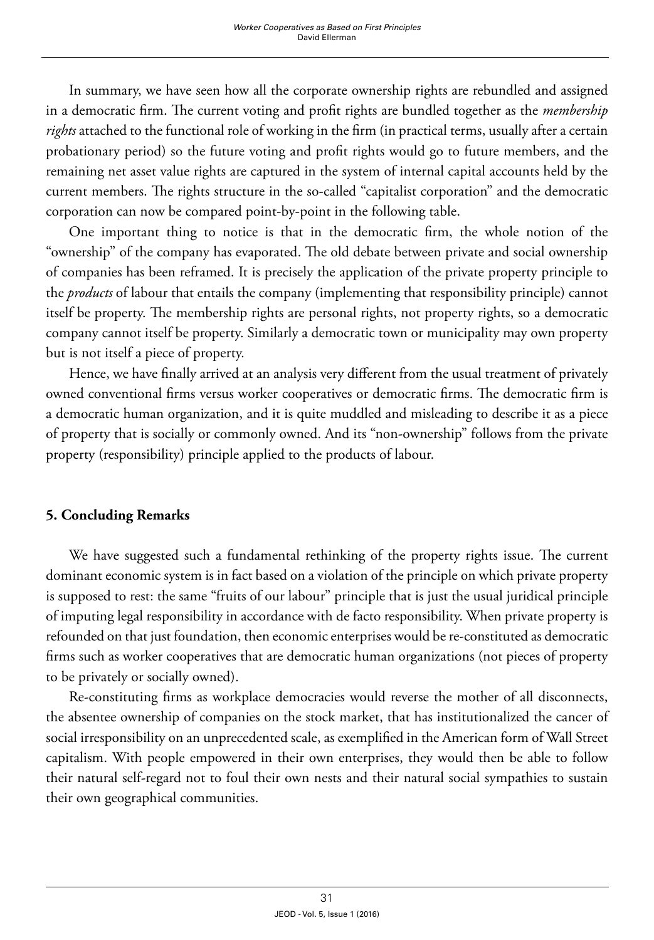In summary, we have seen how all the corporate ownership rights are rebundled and assigned in a democratic firm. The current voting and profit rights are bundled together as the *membership rights* attached to the functional role of working in the firm (in practical terms, usually after a certain probationary period) so the future voting and profit rights would go to future members, and the remaining net asset value rights are captured in the system of internal capital accounts held by the current members. The rights structure in the so-called "capitalist corporation" and the democratic corporation can now be compared point-by-point in the following table.

One important thing to notice is that in the democratic firm, the whole notion of the "ownership" of the company has evaporated. The old debate between private and social ownership of companies has been reframed. It is precisely the application of the private property principle to the *products* of labour that entails the company (implementing that responsibility principle) cannot itself be property. The membership rights are personal rights, not property rights, so a democratic company cannot itself be property. Similarly a democratic town or municipality may own property but is not itself a piece of property.

Hence, we have finally arrived at an analysis very different from the usual treatment of privately owned conventional firms versus worker cooperatives or democratic firms. The democratic firm is a democratic human organization, and it is quite muddled and misleading to describe it as a piece of property that is socially or commonly owned. And its "non-ownership" follows from the private property (responsibility) principle applied to the products of labour.

#### **5. Concluding Remarks**

We have suggested such a fundamental rethinking of the property rights issue. The current dominant economic system is in fact based on a violation of the principle on which private property is supposed to rest: the same "fruits of our labour" principle that is just the usual juridical principle of imputing legal responsibility in accordance with de facto responsibility. When private property is refounded on that just foundation, then economic enterprises would be re-constituted as democratic firms such as worker cooperatives that are democratic human organizations (not pieces of property to be privately or socially owned).

Re-constituting firms as workplace democracies would reverse the mother of all disconnects, the absentee ownership of companies on the stock market, that has institutionalized the cancer of social irresponsibility on an unprecedented scale, as exemplified in the American form of Wall Street capitalism. With people empowered in their own enterprises, they would then be able to follow their natural self-regard not to foul their own nests and their natural social sympathies to sustain their own geographical communities.